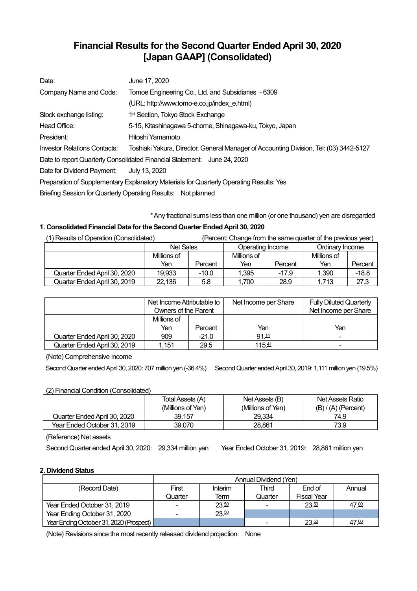# **Financial Results for the Second Quarter Ended April 30, 2020 [Japan GAAP] (Consolidated)**

| Date:                        | June 17, 2020                                                                           |  |  |
|------------------------------|-----------------------------------------------------------------------------------------|--|--|
| Company Name and Code:       | Tomoe Engineering Co., Ltd. and Subsidiaries - 6309                                     |  |  |
|                              | (URL: http://www.tomo-e.co.jp/index e.html)                                             |  |  |
| Stock exchange listing:      | 1 <sup>st</sup> Section, Tokyo Stock Exchange                                           |  |  |
| Head Office:                 | 5-15, Kitashinagawa 5-chome, Shinagawa-ku, Tokyo, Japan                                 |  |  |
| President:                   | Hitoshi Yamamoto                                                                        |  |  |
| Investor Relations Contacts: | Toshiaki Yakura, Director, General Manager of Accounting Division, Tel: (03) 3442-5127  |  |  |
|                              | Date to report Quarterly Consolidated Financial Statement: June 24, 2020                |  |  |
| Date for Dividend Payment:   | July 13, 2020                                                                           |  |  |
|                              | Preparation of Supplementary Explanatory Materials for Quarterly Operating Results: Yes |  |  |
|                              | Briefing Session for Quarterly Operating Results: Not planned                           |  |  |

\*Any fractional sums less than one million (or one thousand) yen are disregarded

## **1. Consolidated Financial Data forthe Second Quarter Ended April 30, 2020**

| (1) Results of Operation (Consolidated) |                  |         | (Percent: Change from the same quarter of the previous year) |         |                 |         |
|-----------------------------------------|------------------|---------|--------------------------------------------------------------|---------|-----------------|---------|
|                                         | <b>Net Sales</b> |         | Operating Income                                             |         | Ordinary Income |         |
|                                         | Millions of      |         | Millions of                                                  |         | Millions of     |         |
|                                         | Yen              | Percent | Yen                                                          | Percent | Yen             | Percent |
| Quarter Ended April 30. 2020            | 19.933           | $-10.0$ | 1,395                                                        | $-17.9$ | 1.390           | $-18.8$ |
| Quarter Ended April 30, 2019            | 22.136           | 5.8     | 1.700                                                        | 28.9    | 1.713           | 27.3    |

|                              | Net Income Attributable to<br><b>Owners of the Parent</b> |         | Net Income per Share | <b>Fully Diluted Quarterly</b><br>Net Income per Share |
|------------------------------|-----------------------------------------------------------|---------|----------------------|--------------------------------------------------------|
|                              | Millions of                                               |         |                      |                                                        |
|                              | Yen                                                       | Percent | Yen                  | Yen                                                    |
| Quarter Ended April 30, 2020 | 909                                                       | $-21.0$ | 91.14                | -                                                      |
| Quarter Ended April 30, 2019 | l.151                                                     | 29.5    | 115.41               | ۰                                                      |

(Note) Comprehensive income

Second Quarter ended April 30, 2020: 707 million yen (-36.4%) Second Quarter ended April 30, 2019: 1,111 million yen (19.5%)

## (2) Financial Condition (Consolidated)

| $\sim$                       | Total Assets (A)<br>(Millions of Yen) | Net Assets (B)<br>(Millions of Yen) | Net Assets Ratio<br>$(B) / (A)$ (Percent) |
|------------------------------|---------------------------------------|-------------------------------------|-------------------------------------------|
| Quarter Ended April 30, 2020 | 39.157                                | 29.334                              | 74.9                                      |
| Year Ended October 31, 2019  | 39.070                                | 28.861                              | 73.9                                      |

(Reference) Net assets

Second Quarter ended April 30, 2020: 29,334 million yen Year Ended October 31, 2019: 28,861 million yen

## **2. Dividend Status**

|                                         | Annual Dividend (Yen) |         |         |                    |        |  |
|-----------------------------------------|-----------------------|---------|---------|--------------------|--------|--|
| (Record Date)                           | First                 | Interim | Third   | End of             | Annual |  |
|                                         | Quarter               | Term    | Quarter | <b>Fiscal Year</b> |        |  |
| Year Ended October 31, 2019             | ۰                     | 23.50   |         | 23.50              | 47.00  |  |
| Year Ending October 31, 2020            | ۰                     | 23.50   |         |                    |        |  |
| Year Ending October 31, 2020 (Prospect) |                       |         |         | 23.50              | 47.00  |  |

(Note) Revisions since the most recently released dividend projection: None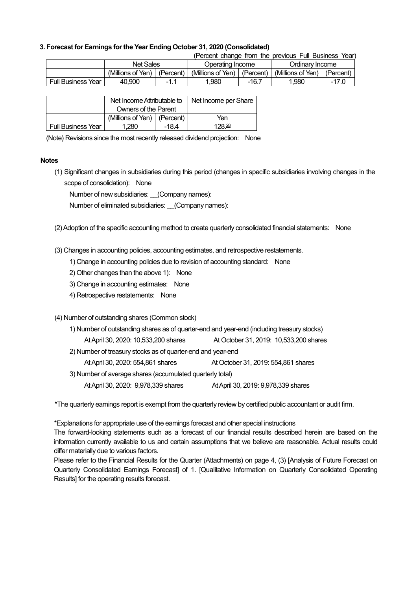#### **3. Forecast for Earnings forthe Year Ending October 31, 2020 (Consolidated)**

(Percent change from the previous Full Business Year)

|                              | Net Sales         |              | Operating Income  |           | Ordinarv Income   |           |
|------------------------------|-------------------|--------------|-------------------|-----------|-------------------|-----------|
|                              | (Millions of Yen) | (Percent)    | (Millions of Yen) | (Percent) | (Millions of Yen) | (Percent, |
| <b>Full Business</b><br>Year | 40.900            | - 1<br>-1. . | .980              | -16.7     | 1.980             | - 1       |

|                           | Net Income Attributable to      |  | Net Income per Share |
|---------------------------|---------------------------------|--|----------------------|
|                           | Owners of the Parent            |  |                      |
|                           | (Millions of Yen) $ $ (Percent) |  | Yen                  |
| <b>Full Business Year</b> | 1.280<br>$-18.4$                |  | 128 <sup>28</sup>    |

(Note) Revisions since the most recently released dividend projection: None

#### **Notes**

(1) Significant changes in subsidiaries during this period (changes in specific subsidiaries involving changes in the scope of consolidation): None

Number of new subsidiaries: (Company names):

Number of eliminated subsidiaries: (Company names):

(2)Adoption of the specific accounting method to create quarterly consolidated financial statements: None

(3) Changes in accounting policies, accounting estimates, and retrospective restatements.

1) Change in accounting policies due to revision of accounting standard: None

- 2) Other changes than the above 1): None
- 3) Change in accounting estimates: None
- 4) Retrospective restatements: None

### (4) Number of outstanding shares (Common stock)

| 1) Number of outstanding shares as of quarter-end and year-end (including treasury stocks) |                                        |  |  |  |  |
|--------------------------------------------------------------------------------------------|----------------------------------------|--|--|--|--|
| At April 30, 2020: 10,533,200 shares                                                       | At October 31, 2019: 10,533,200 shares |  |  |  |  |
| 2) Number of treasury stocks as of quarter-end and year-end                                |                                        |  |  |  |  |
| At April 30, 2020: 554,861 shares                                                          | At October 31, 2019: 554,861 shares    |  |  |  |  |
| 3) Number of average shares (accumulated quarterly total)                                  |                                        |  |  |  |  |
| At April 30, 2020: 9,978,339 shares                                                        | At April 30, 2019: 9,978,339 shares    |  |  |  |  |

\*The quarterly earnings report is exempt from the quarterly review by certified public accountant or audit firm.

\*Explanations for appropriate use of the earnings forecast and other special instructions

The forward-looking statements such as a forecast of our financial results described herein are based on the information currently available to us and certain assumptions that we believe are reasonable. Actual results could differ materially due to various factors.

Please refer to the Financial Results for the Quarter (Attachments) on page 4, (3) [Analysis of Future Forecast on Quarterly Consolidated Earnings Forecast] of 1. [Qualitative Information on Quarterly Consolidated Operating Results] for the operating results forecast.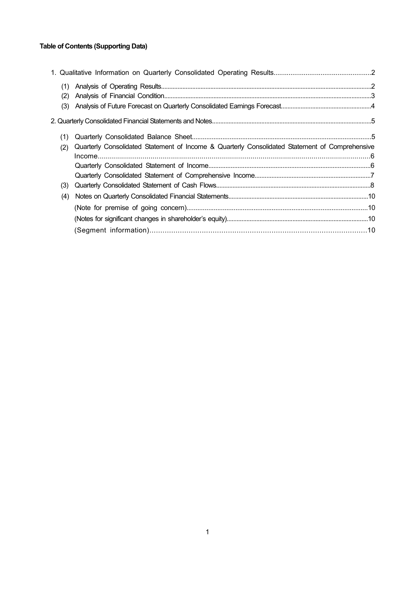## **Table of Contents (Supporting Data)**

| (1) |                                                                                                |  |
|-----|------------------------------------------------------------------------------------------------|--|
| (2) |                                                                                                |  |
| (3) |                                                                                                |  |
|     |                                                                                                |  |
| (1) |                                                                                                |  |
| (2) | Quarterly Consolidated Statement of Income & Quarterly Consolidated Statement of Comprehensive |  |
|     |                                                                                                |  |
|     |                                                                                                |  |
|     |                                                                                                |  |
| (3) |                                                                                                |  |
| (4) |                                                                                                |  |
|     |                                                                                                |  |
|     |                                                                                                |  |
|     |                                                                                                |  |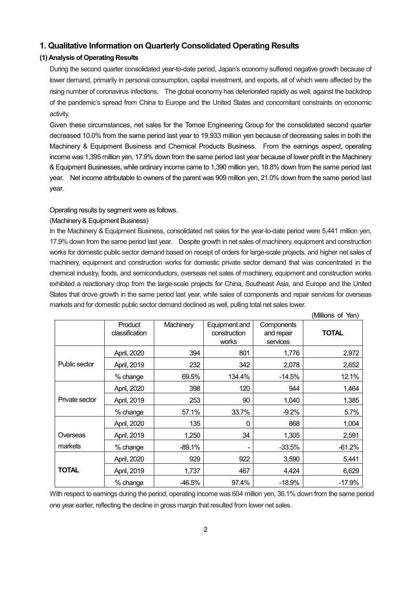## **1. Qualitative Information on Quarterly Consolidated Operating Results**

### **(1) Analysis of Operating Results**

During the second quarter consolidated year-to-date period, Japan's economy suffered negative growth because of lower demand, primarily in personal consumption, capital investment, and exports, all of which were affected by the rising number of coronavirus infections. The global economy has deteriorated rapidly as well, against the backdrop of the pandemic's spread from China to Europe and the United States and concomitant constraints on economic activity.

Given these circumstances, net sales for the Tomoe Engineering Group for the consolidated second quarter decreased 10.0% from the same period last year to 19,933 million yen because of decreasing sales in both the Machinery & Equipment Business and Chemical Products Business. From the earnings aspect, operating income was 1,395 million yen, 17.9% down from the same period last year because of lower profit in the Machinery & Equipment Businesses, while ordinary income came to 1,390 million yen, 18.8% down from the same period last year. Net income attributable to owners of the parent was 909 million yen, 21.0% down from the same period last year.

#### Operating results by segment were as follows.

#### (Machinery & Equipment Business)

In the Machinery & Equipment Business, consolidated net sales for the year-to-date period were 5,441 million yen, 17.9% down from the same period last year. Despite growth in net sales of machinery, equipment and construction works for domestic public sector demand based on receipt of orders for large-scale projects, and higher net sales of machinery, equipment and construction works for domestic private sector demand that was concentrated in the chemical industry, foods, and semiconductors, overseas net sales of machinery, equipment and construction works exhibited a reactionary drop from the large-scale projects for China, Southeast Asia, and Europe and the United States that drove growth in the same period last year, while sales of components and repair services for overseas markets and for domestic public sector demand declined as well, pulling total net sales lower.

|                |                           |           |                                        |                                      | (Millions of Yen) |
|----------------|---------------------------|-----------|----------------------------------------|--------------------------------------|-------------------|
|                | Product<br>classification | Machinery | Equipment and<br>construction<br>works | Components<br>and repair<br>services | <b>TOTAL</b>      |
|                | April, 2020               | 394       | 801                                    | 1,776                                | 2,972             |
| Public sector  | April, 2019               | 232       | 342                                    | 2,078                                | 2,652             |
|                | % change                  | 69.5%     | 134.4%                                 | $-14.5%$                             | 12.1%             |
|                | April, 2020               | 398       | 120                                    | 944                                  | 1,464             |
| Private sector | April, 2019               | 253       | 90                                     | 1,040                                | 1,385             |
|                | % change                  | 57.1%     | 33.7%                                  | $-9.2%$                              | 5.7%              |
|                | April, 2020               | 135       | 0                                      | 868                                  | 1,004             |
| Overseas       | April, 2019               | 1,250     | 34                                     | 1,305                                | 2,591             |
| markets        | % change                  | $-89.1%$  |                                        | $-33.5%$                             | $-61.2%$          |
|                | April, 2020               | 929       | 922                                    | 3,590                                | 5,441             |
| <b>TOTAL</b>   | April, 2019               | 1,737     | 467                                    | 4,424                                | 6,629             |
|                | % change                  | -46.5%    | 97.4%                                  | $-18.9%$                             | $-17.9%$          |

With respect to earnings during the period, operating income was 604 million yen, 36.1% down from the same period one year earlier, reflecting the decline in gross margin that resulted from lower net sales.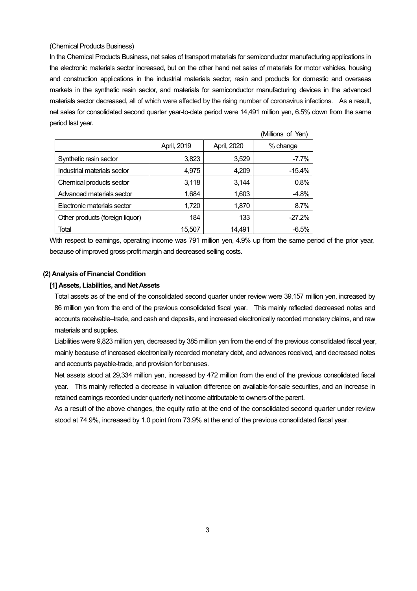#### (Chemical Products Business)

In the Chemical Products Business, net sales of transport materials for semiconductor manufacturing applications in the electronic materials sector increased, but on the other hand net sales of materials for motor vehicles, housing and construction applications in the industrial materials sector, resin and products for domestic and overseas markets in the synthetic resin sector, and materials for semiconductor manufacturing devices in the advanced materials sector decreased, all of which were affected by the rising number of coronavirus infections. As a result, net sales for consolidated second quarter year-to-date period were 14,491 million yen, 6.5% down from the same period last year.

|                                 |             |             | (Millions of Yen) |
|---------------------------------|-------------|-------------|-------------------|
|                                 | April, 2019 | April, 2020 | % change          |
| Synthetic resin sector          | 3,823       | 3,529       | $-7.7%$           |
| Industrial materials sector     | 4,975       | 4,209       | $-15.4%$          |
| Chemical products sector        | 3,118       | 3,144       | 0.8%              |
| Advanced materials sector       | 1,684       | 1,603       | $-4.8%$           |
| Electronic materials sector     | 1,720       | 1,870       | 8.7%              |
| Other products (foreign liquor) | 184         | 133         | $-27.2%$          |
| Total                           | 15,507      | 14.491      | $-6.5%$           |

With respect to earnings, operating income was 791 million yen, 4.9% up from the same period of the prior year, because of improved gross-profit margin and decreased selling costs.

#### **(2) Analysis of Financial Condition**

#### **[1] Assets, Liabilities, and Net Assets**

Total assets as of the end of the consolidated second quarter under review were 39,157 million yen, increased by 86 million yen from the end of the previous consolidated fiscal year. This mainly reflected decreased notes and accounts receivable–trade, and cash and deposits, and increased electronically recorded monetary claims, and raw materials and supplies.

Liabilities were 9,823 million yen, decreased by 385 million yen from the end of the previous consolidated fiscal year, mainly because of increased electronically recorded monetary debt, and advances received, and decreased notes and accounts payable-trade, and provision for bonuses.

Net assets stood at 29,334 million yen, increased by 472 million from the end of the previous consolidated fiscal year. This mainly reflected a decrease in valuation difference on available-for-sale securities, and an increase in retained earnings recorded under quarterly net income attributable to owners of the parent.

As a result of the above changes, the equity ratio at the end of the consolidated second quarter under review stood at 74.9%, increased by 1.0 point from 73.9% at the end of the previous consolidated fiscal year.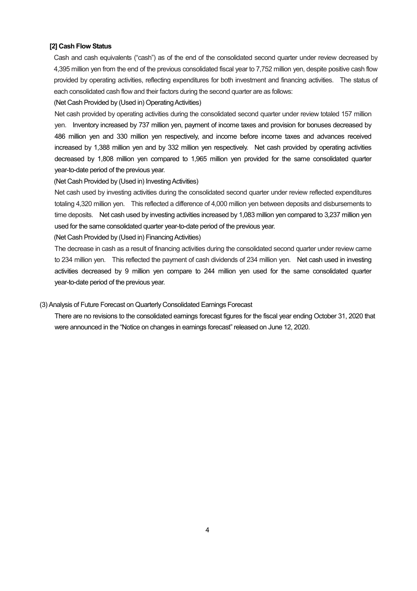#### **[2] Cash Flow Status**

Cash and cash equivalents ("cash") as of the end of the consolidated second quarter under review decreased by 4,395 million yen from the end of the previous consolidated fiscal year to 7,752 million yen, despite positive cash flow provided by operating activities, reflecting expenditures for both investment and financing activities. The status of each consolidated cash flow and their factors during the second quarter are as follows:

#### (Net Cash Provided by (Used in) Operating Activities)

Net cash provided by operating activities during the consolidated second quarter under review totaled 157 million yen. Inventory increased by 737 million yen, payment of income taxes and provision for bonuses decreased by 486 million yen and 330 million yen respectively, and income before income taxes and advances received increased by 1,388 million yen and by 332 million yen respectively. Net cash provided by operating activities decreased by 1,808 million yen compared to 1,965 million yen provided for the same consolidated quarter year-to-date period of the previous year.

#### (Net Cash Provided by (Used in) Investing Activities)

Net cash used by investing activities during the consolidated second quarter under review reflected expenditures totaling 4,320 million yen. This reflected a difference of 4,000 million yen between deposits and disbursements to time deposits. Net cash used by investing activities increased by 1,083 million yen compared to 3,237 million yen used for the same consolidated quarter year-to-date period of the previous year.

(Net Cash Provided by (Used in) Financing Activities)

The decrease in cash as a result of financing activities during the consolidated second quarter under review came to 234 million yen. This reflected the payment of cash dividends of 234 million yen. Net cash used in investing activities decreased by 9 million yen compare to 244 million yen used for the same consolidated quarter year-to-date period of the previous year.

#### (3) Analysis of Future Forecast on Quarterly Consolidated Earnings Forecast

There are no revisions to the consolidated earnings forecast figures for the fiscal year ending October 31, 2020 that were announced in the "Notice on changes in earnings forecast" released on June 12, 2020.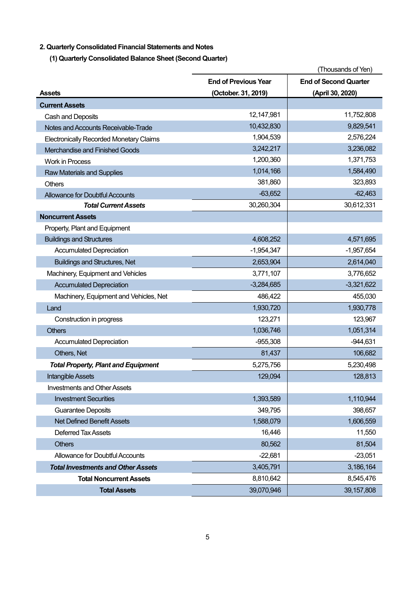## **2. Quarterly Consolidated Financial Statements and Notes**

**(1) Quarterly Consolidated Balance Sheet (Second Quarter)**

|                                                | (Thousands of Yen)          |                              |
|------------------------------------------------|-----------------------------|------------------------------|
|                                                | <b>End of Previous Year</b> | <b>End of Second Quarter</b> |
| <b>Assets</b>                                  | (October. 31, 2019)         | (April 30, 2020)             |
| <b>Current Assets</b>                          |                             |                              |
| Cash and Deposits                              | 12,147,981                  | 11,752,808                   |
| Notes and Accounts Receivable-Trade            | 10,432,830                  | 9,829,541                    |
| <b>Electronically Recorded Monetary Claims</b> | 1,904,539                   | 2,576,224                    |
| Merchandise and Finished Goods                 | 3,242,217                   | 3,236,082                    |
| <b>Work in Process</b>                         | 1,200,360                   | 1,371,753                    |
| <b>Raw Materials and Supplies</b>              | 1,014,166                   | 1,584,490                    |
| <b>Others</b>                                  | 381,860                     | 323,893                      |
| <b>Allowance for Doubtful Accounts</b>         | $-63,652$                   | $-62,463$                    |
| <b>Total Current Assets</b>                    | 30,260,304                  | 30,612,331                   |
| <b>Noncurrent Assets</b>                       |                             |                              |
| Property, Plant and Equipment                  |                             |                              |
| <b>Buildings and Structures</b>                | 4,608,252                   | 4,571,695                    |
| <b>Accumulated Depreciation</b>                | $-1,954,347$                | $-1,957,654$                 |
| <b>Buildings and Structures, Net</b>           | 2,653,904                   | 2,614,040                    |
| Machinery, Equipment and Vehicles              | 3,771,107                   | 3,776,652                    |
| <b>Accumulated Depreciation</b>                | $-3,284,685$                | $-3,321,622$                 |
| Machinery, Equipment and Vehicles, Net         | 486,422                     | 455,030                      |
| Land                                           | 1,930,720                   | 1,930,778                    |
| Construction in progress                       | 123,271                     | 123,967                      |
| <b>Others</b>                                  | 1,036,746                   | 1,051,314                    |
| <b>Accumulated Depreciation</b>                | $-955,308$                  | $-944,631$                   |
| Others, Net                                    | 81,437                      | 106,682                      |
| <b>Total Property, Plant and Equipment</b>     | 5,275,756                   | 5,230,498                    |
| Intangible Assets                              | 129,094                     | 128,813                      |
| <b>Investments and Other Assets</b>            |                             |                              |
| <b>Investment Securities</b>                   | 1,393,589                   | 1,110,944                    |
| <b>Guarantee Deposits</b>                      | 349,795                     | 398,657                      |
| <b>Net Defined Benefit Assets</b>              | 1,588,079                   | 1,606,559                    |
| <b>Deferred Tax Assets</b>                     | 16,446                      | 11,550                       |
| <b>Others</b>                                  | 80,562                      | 81,504                       |
| Allowance for Doubtful Accounts                | $-22,681$                   | $-23,051$                    |
| <b>Total Investments and Other Assets</b>      | 3,405,791                   | 3,186,164                    |
| <b>Total Noncurrent Assets</b>                 | 8,810,642                   | 8,545,476                    |
| <b>Total Assets</b>                            | 39,070,946                  | 39, 157, 808                 |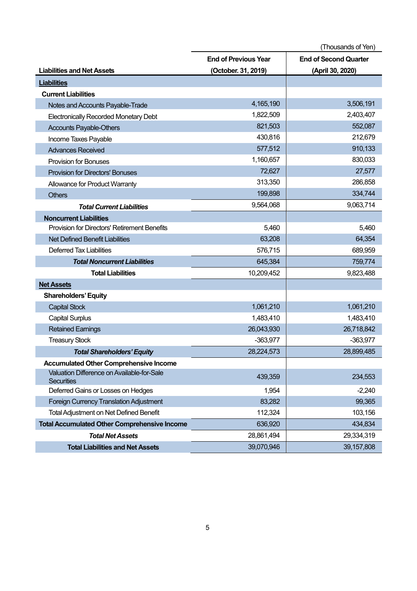|                                                                 | (Thousands of Yen)                                          |                  |  |
|-----------------------------------------------------------------|-------------------------------------------------------------|------------------|--|
|                                                                 | <b>End of Previous Year</b><br><b>End of Second Quarter</b> |                  |  |
| <b>Liabilities and Net Assets</b>                               | (October. 31, 2019)                                         | (April 30, 2020) |  |
| <b>Liabilities</b>                                              |                                                             |                  |  |
| <b>Current Liabilities</b>                                      |                                                             |                  |  |
| Notes and Accounts Payable-Trade                                | 4,165,190                                                   | 3,506,191        |  |
| <b>Electronically Recorded Monetary Debt</b>                    | 1,822,509                                                   | 2,403,407        |  |
| <b>Accounts Payable-Others</b>                                  | 821,503                                                     | 552,087          |  |
| Income Taxes Payable                                            | 430,816                                                     | 212,679          |  |
| <b>Advances Received</b>                                        | 577,512                                                     | 910,133          |  |
| <b>Provision for Bonuses</b>                                    | 1,160,657                                                   | 830,033          |  |
| <b>Provision for Directors' Bonuses</b>                         | 72,627                                                      | 27,577           |  |
| Allowance for Product Warranty                                  | 313,350                                                     | 286,858          |  |
| <b>Others</b>                                                   | 199,898                                                     | 334,744          |  |
| <b>Total Current Liabilities</b>                                | 9,564,068                                                   | 9,063,714        |  |
| <b>Noncurrent Liabilities</b>                                   |                                                             |                  |  |
| <b>Provision for Directors' Retirement Benefits</b>             | 5,460                                                       | 5,460            |  |
| Net Defined Benefit Liabilities                                 | 63,208                                                      | 64,354           |  |
| <b>Deferred Tax Liabilities</b>                                 | 576,715                                                     | 689,959          |  |
| <b>Total Noncurrent Liabilities</b>                             | 645,384                                                     | 759,774          |  |
| <b>Total Liabilities</b>                                        | 10,209,452                                                  | 9,823,488        |  |
| <b>Net Assets</b>                                               |                                                             |                  |  |
| <b>Shareholders' Equity</b>                                     |                                                             |                  |  |
| <b>Capital Stock</b>                                            | 1,061,210                                                   | 1,061,210        |  |
| <b>Capital Surplus</b>                                          | 1,483,410                                                   | 1,483,410        |  |
| <b>Retained Earnings</b>                                        | 26,043,930                                                  | 26,718,842       |  |
| <b>Treasury Stock</b>                                           | $-363,977$                                                  | $-363,977$       |  |
| <b>Total Shareholders' Equity</b>                               | 28,224,573                                                  | 28,899,485       |  |
| <b>Accumulated Other Comprehensive Income</b>                   |                                                             |                  |  |
| Valuation Difference on Available-for-Sale<br><b>Securities</b> | 439,359                                                     | 234,553          |  |
| Deferred Gains or Losses on Hedges                              | 1,954                                                       | $-2,240$         |  |
| Foreign Currency Translation Adjustment                         | 83,282                                                      | 99,365           |  |
| <b>Total Adjustment on Net Defined Benefit</b>                  | 112,324                                                     | 103,156          |  |
| <b>Total Accumulated Other Comprehensive Income</b>             | 636,920                                                     | 434,834          |  |
| <b>Total Net Assets</b>                                         | 28,861,494                                                  | 29,334,319       |  |
| <b>Total Liabilities and Net Assets</b>                         | 39,070,946                                                  | 39, 157, 808     |  |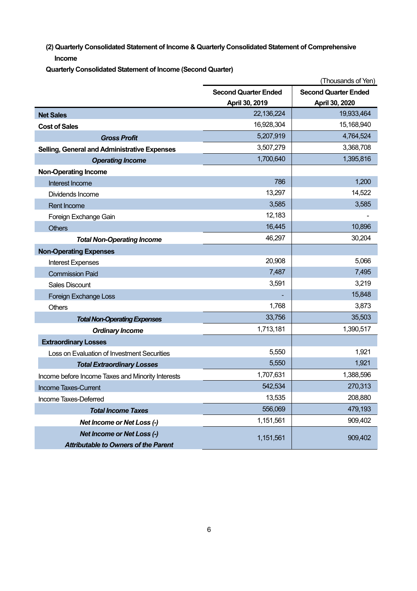**(2) Quarterly Consolidated Statement of Income & Quarterly Consolidated Statement of Comprehensive Income**

**Quarterly Consolidated Statement of Income (Second Quarter)**

|                                                     | (Thousands of Yen)                                         |                |  |
|-----------------------------------------------------|------------------------------------------------------------|----------------|--|
|                                                     | <b>Second Quarter Ended</b><br><b>Second Quarter Ended</b> |                |  |
|                                                     | April 30, 2019                                             | April 30, 2020 |  |
| <b>Net Sales</b>                                    | 22,136,224                                                 | 19,933,464     |  |
| <b>Cost of Sales</b>                                | 16,928,304                                                 | 15,168,940     |  |
| <b>Gross Profit</b>                                 | 5,207,919                                                  | 4,764,524      |  |
| <b>Selling, General and Administrative Expenses</b> | 3,507,279                                                  | 3,368,708      |  |
| <b>Operating Income</b>                             | 1,700,640                                                  | 1,395,816      |  |
| <b>Non-Operating Income</b>                         |                                                            |                |  |
| Interest Income                                     | 786                                                        | 1,200          |  |
| Dividends Income                                    | 13,297                                                     | 14,522         |  |
| <b>Rent Income</b>                                  | 3,585                                                      | 3,585          |  |
| Foreign Exchange Gain                               | 12,183                                                     |                |  |
| <b>Others</b>                                       | 16,445                                                     | 10,896         |  |
| <b>Total Non-Operating Income</b>                   | 46,297                                                     | 30,204         |  |
| <b>Non-Operating Expenses</b>                       |                                                            |                |  |
| <b>Interest Expenses</b>                            | 20,908                                                     | 5,066          |  |
| <b>Commission Paid</b>                              | 7,487                                                      | 7,495          |  |
| <b>Sales Discount</b>                               | 3,591                                                      | 3,219          |  |
| Foreign Exchange Loss                               |                                                            | 15,848         |  |
| <b>Others</b>                                       | 1,768                                                      | 3,873          |  |
| <b>Total Non-Operating Expenses</b>                 | 33,756                                                     | 35,503         |  |
| <b>Ordinary Income</b>                              | 1,713,181                                                  | 1,390,517      |  |
| <b>Extraordinary Losses</b>                         |                                                            |                |  |
| Loss on Evaluation of Investment Securities         | 5,550                                                      | 1,921          |  |
| <b>Total Extraordinary Losses</b>                   | 5,550                                                      | 1,921          |  |
| Income before Income Taxes and Minority Interests   | 1,707,631                                                  | 1,388,596      |  |
| <b>Income Taxes-Current</b>                         | 542,534                                                    | 270,313        |  |
| Income Taxes-Deferred                               | 13,535                                                     | 208,880        |  |
| <b>Total Income Taxes</b>                           | 556,069                                                    | 479,193        |  |
| Net Income or Net Loss (-)                          | 1,151,561                                                  | 909,402        |  |
| <b>Net Income or Net Loss (-)</b>                   |                                                            | 909,402        |  |
| <b>Attributable to Owners of the Parent</b>         | 1,151,561                                                  |                |  |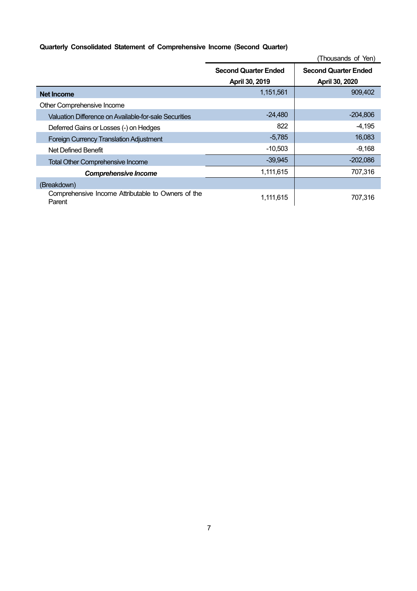## **Quarterly Consolidated Statement of Comprehensive Income (Second Quarter)**

|                                                              |                                               | (Thousands of Yen)                            |
|--------------------------------------------------------------|-----------------------------------------------|-----------------------------------------------|
|                                                              | <b>Second Quarter Ended</b><br>April 30, 2019 | <b>Second Quarter Ended</b><br>April 30, 2020 |
| <b>Net Income</b>                                            | 1,151,561                                     | 909,402                                       |
| Other Comprehensive Income                                   |                                               |                                               |
| Valuation Difference on Available-for-sale Securities        | $-24.480$                                     | $-204,806$                                    |
| Deferred Gains or Losses (-) on Hedges                       | 822                                           | $-4,195$                                      |
| <b>Foreign Currency Translation Adjustment</b>               | $-5,785$                                      | 16,083                                        |
| Net Defined Benefit                                          | $-10,503$                                     | $-9,168$                                      |
| <b>Total Other Comprehensive Income</b>                      | $-39,945$                                     | $-202,086$                                    |
| <b>Comprehensive Income</b>                                  | 1,111,615                                     | 707,316                                       |
| (Breakdown)                                                  |                                               |                                               |
| Comprehensive Income Attributable to Owners of the<br>Parent | 1,111,615                                     | 707.316                                       |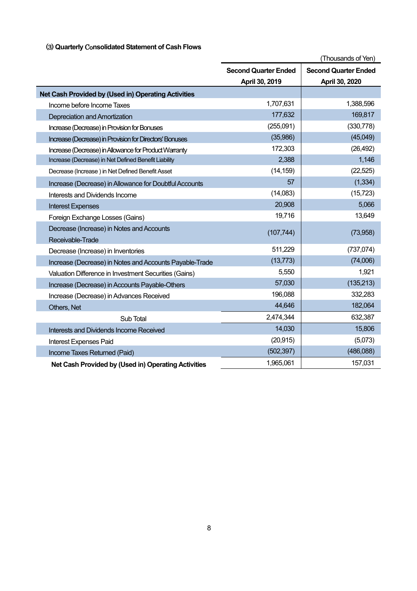## (3) **Quarterly** Co**nsolidated Statement of Cash Flows**

|                                                         |                             | (Thousands of Yen)          |
|---------------------------------------------------------|-----------------------------|-----------------------------|
|                                                         | <b>Second Quarter Ended</b> | <b>Second Quarter Ended</b> |
|                                                         | April 30, 2019              | April 30, 2020              |
| Net Cash Provided by (Used in) Operating Activities     |                             |                             |
| Income before Income Taxes                              | 1,707,631                   | 1,388,596                   |
| Depreciation and Amortization                           | 177,632                     | 169,817                     |
| Increase (Decrease) in Provision for Bonuses            | (255,091)                   | (330, 778)                  |
| Increase (Decrease) in Provision for Directors' Bonuses | (35,986)                    | (45,049)                    |
| Increase (Decrease) in Allowance for Product Warranty   | 172,303                     | (26, 492)                   |
| Increase (Decrease) in Net Defined Benefit Liability    | 2,388                       | 1,146                       |
| Decrease (Increase) in Net Defined Benefit Asset        | (14, 159)                   | (22, 525)                   |
| Increase (Decrease) in Allowance for Doubtful Accounts  | 57                          | (1, 334)                    |
| Interests and Dividends Income                          | (14,083)                    | (15, 723)                   |
| <b>Interest Expenses</b>                                | 20,908                      | 5,066                       |
| Foreign Exchange Losses (Gains)                         | 19,716                      | 13,649                      |
| Decrease (Increase) in Notes and Accounts               | (107, 744)                  | (73,958)                    |
| Receivable-Trade                                        |                             |                             |
| Decrease (Increase) in Inventories                      | 511,229                     | (737, 074)                  |
| Increase (Decrease) in Notes and Accounts Payable-Trade | (13, 773)                   | (74,006)                    |
| Valuation Difference in Investment Securities (Gains)   | 5,550                       | 1,921                       |
| Increase (Decrease) in Accounts Payable-Others          | 57,030                      | (135, 213)                  |
| Increase (Decrease) in Advances Received                | 196,088                     | 332,283                     |
| Others, Net                                             | 44,646                      | 182,064                     |
| Sub Total                                               | 2,474,344                   | 632,387                     |
| Interests and Dividends Income Received                 | 14,030                      | 15,806                      |
| Interest Expenses Paid                                  | (20, 915)                   | (5,073)                     |
| Income Taxes Returned (Paid)                            | (502, 397)                  | (486,088)                   |
| Net Cash Provided by (Used in) Operating Activities     | 1,965,061                   | 157,031                     |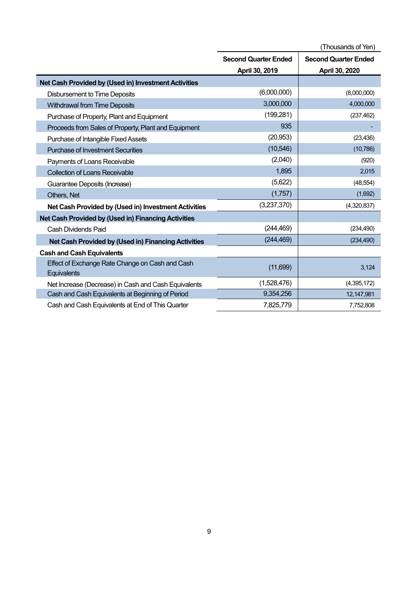|                                                                | (Thousands of Yen)          |                             |  |
|----------------------------------------------------------------|-----------------------------|-----------------------------|--|
|                                                                | <b>Second Quarter Ended</b> | <b>Second Quarter Ended</b> |  |
|                                                                | April 30, 2019              | April 30, 2020              |  |
| Net Cash Provided by (Used in) Investment Activities           |                             |                             |  |
| <b>Disbursement to Time Deposits</b>                           | (6,000,000)                 | (8,000,000)                 |  |
| <b>Withdrawal from Time Deposits</b>                           | 3,000,000                   | 4,000,000                   |  |
| Purchase of Property, Plant and Equipment                      | (199, 281)                  | (237, 462)                  |  |
| Proceeds from Sales of Property, Plant and Equipment           | 935                         |                             |  |
| Purchase of Intangible Fixed Assets                            | (20, 953)                   | (23, 436)                   |  |
| <b>Purchase of Investment Securities</b>                       | (10, 546)                   | (10, 786)                   |  |
| Payments of Loans Receivable                                   | (2,040)                     | (920)                       |  |
| <b>Collection of Loans Receivable</b>                          | 1,895                       | 2,015                       |  |
| Guarantee Deposits (Increase)                                  | (5,622)                     | (48, 554)                   |  |
| Others, Net                                                    | (1,757)                     | (1,692)                     |  |
| Net Cash Provided by (Used in) Investment Activities           | (3,237,370)                 | (4,320,837)                 |  |
| Net Cash Provided by (Used in) Financing Activities            |                             |                             |  |
| <b>Cash Dividends Paid</b>                                     | (244, 469)                  | (234, 490)                  |  |
| Net Cash Provided by (Used in) Financing Activities            | (244, 469)                  | (234, 490)                  |  |
| <b>Cash and Cash Equivalents</b>                               |                             |                             |  |
| Effect of Exchange Rate Change on Cash and Cash<br>Equivalents | (11,699)                    | 3,124                       |  |
| Net Increase (Decrease) in Cash and Cash Equivalents           | (1,528,476)                 | (4,395,172)                 |  |
| Cash and Cash Equivalents at Beginning of Period               | 9,354,256                   | 12,147,981                  |  |
| Cash and Cash Equivalents at End of This Quarter               | 7,825,779                   | 7,752,808                   |  |